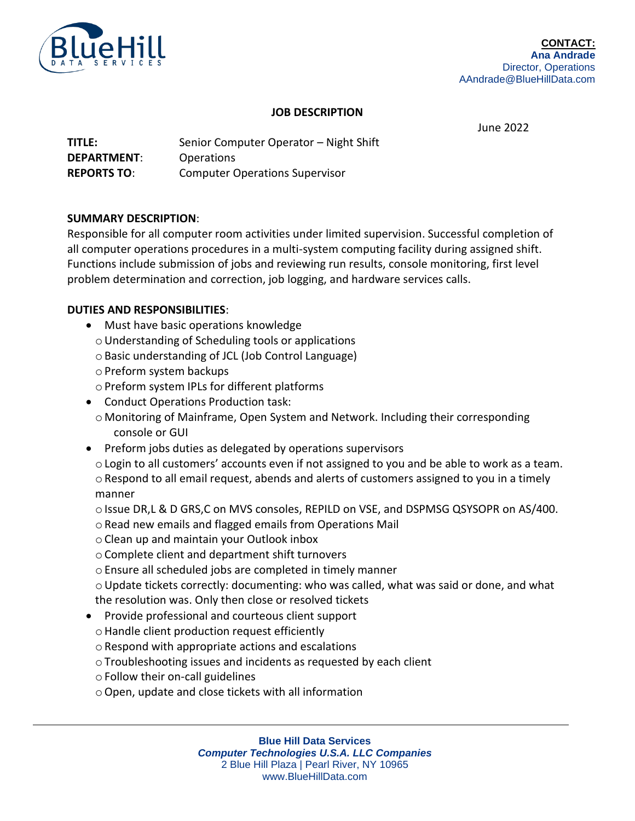

### **JOB DESCRIPTION**

June 2022

| <b>TITLE:</b>      | Senior Computer Operator - Night Shift |
|--------------------|----------------------------------------|
| <b>DEPARTMENT:</b> | <b>Operations</b>                      |
| <b>REPORTS TO:</b> | <b>Computer Operations Supervisor</b>  |

## **SUMMARY DESCRIPTION**:

Responsible for all computer room activities under limited supervision. Successful completion of all computer operations procedures in a multi-system computing facility during assigned shift. Functions include submission of jobs and reviewing run results, console monitoring, first level problem determination and correction, job logging, and hardware services calls.

## **DUTIES AND RESPONSIBILITIES**:

- Must have basic operations knowledge
	- oUnderstanding of Scheduling tools or applications
	- oBasic understanding of JCL (Job Control Language)
	- oPreform system backups
	- oPreform system IPLs for different platforms
- Conduct Operations Production task:
	- o Monitoring of Mainframe, Open System and Network. Including their corresponding console or GUI
- Preform jobs duties as delegated by operations supervisors
	- $\circ$  Login to all customers' accounts even if not assigned to you and be able to work as a team. oRespond to all email request, abends and alerts of customers assigned to you in a timely manner
	- $\circ$  Issue DR,L & D GRS,C on MVS consoles, REPILD on VSE, and DSPMSG QSYSOPR on AS/400.
	- o Read new emails and flagged emails from Operations Mail
	- oClean up and maintain your Outlook inbox
	- oComplete client and department shift turnovers
	- oEnsure all scheduled jobs are completed in timely manner
	- $\circ$  Update tickets correctly: documenting: who was called, what was said or done, and what the resolution was. Only then close or resolved tickets
- Provide professional and courteous client support
	- oHandle client production request efficiently
	- $\circ$  Respond with appropriate actions and escalations
	- oTroubleshooting issues and incidents as requested by each client
	- $\circ$  Follow their on-call guidelines
	- oOpen, update and close tickets with all information

**Blue Hill Data Services** *Computer Technologies U.S.A. LLC Companies* 2 Blue Hill Plaza | Pearl River, NY 10965 www.BlueHillData.com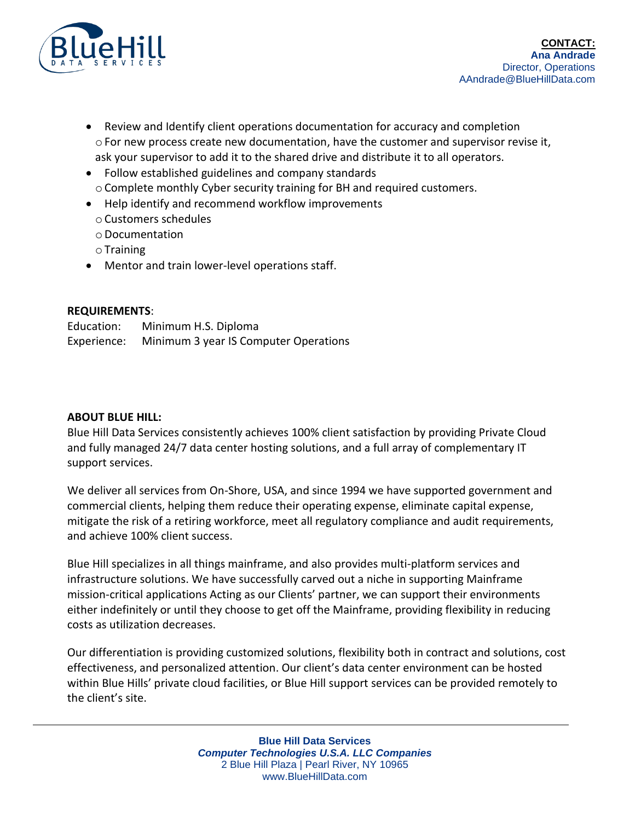

- Review and Identify client operations documentation for accuracy and completion  $\circ$  For new process create new documentation, have the customer and supervisor revise it, ask your supervisor to add it to the shared drive and distribute it to all operators.
- Follow established guidelines and company standards oComplete monthly Cyber security training for BH and required customers.
- Help identify and recommend workflow improvements
	- oCustomers schedules
	- oDocumentation
	- $\circ$  Training
- Mentor and train lower-level operations staff.

# **REQUIREMENTS**:

Education: Minimum H.S. Diploma Experience: Minimum 3 year IS Computer Operations

## **ABOUT BLUE HILL:**

Blue Hill Data Services consistently achieves 100% client satisfaction by providing Private Cloud and fully managed 24/7 data center hosting solutions, and a full array of complementary IT support services.

We deliver all services from On-Shore, USA, and since 1994 we have supported government and commercial clients, helping them reduce their operating expense, eliminate capital expense, mitigate the risk of a retiring workforce, meet all regulatory compliance and audit requirements, and achieve 100% client success.

Blue Hill specializes in all things mainframe, and also provides multi-platform services and infrastructure solutions. We have successfully carved out a niche in supporting Mainframe mission-critical applications Acting as our Clients' partner, we can support their environments either indefinitely or until they choose to get off the Mainframe, providing flexibility in reducing costs as utilization decreases.

Our differentiation is providing customized solutions, flexibility both in contract and solutions, cost effectiveness, and personalized attention. Our client's data center environment can be hosted within Blue Hills' private cloud facilities, or Blue Hill support services can be provided remotely to the client's site.

> **Blue Hill Data Services** *Computer Technologies U.S.A. LLC Companies* 2 Blue Hill Plaza | Pearl River, NY 10965 www.BlueHillData.com